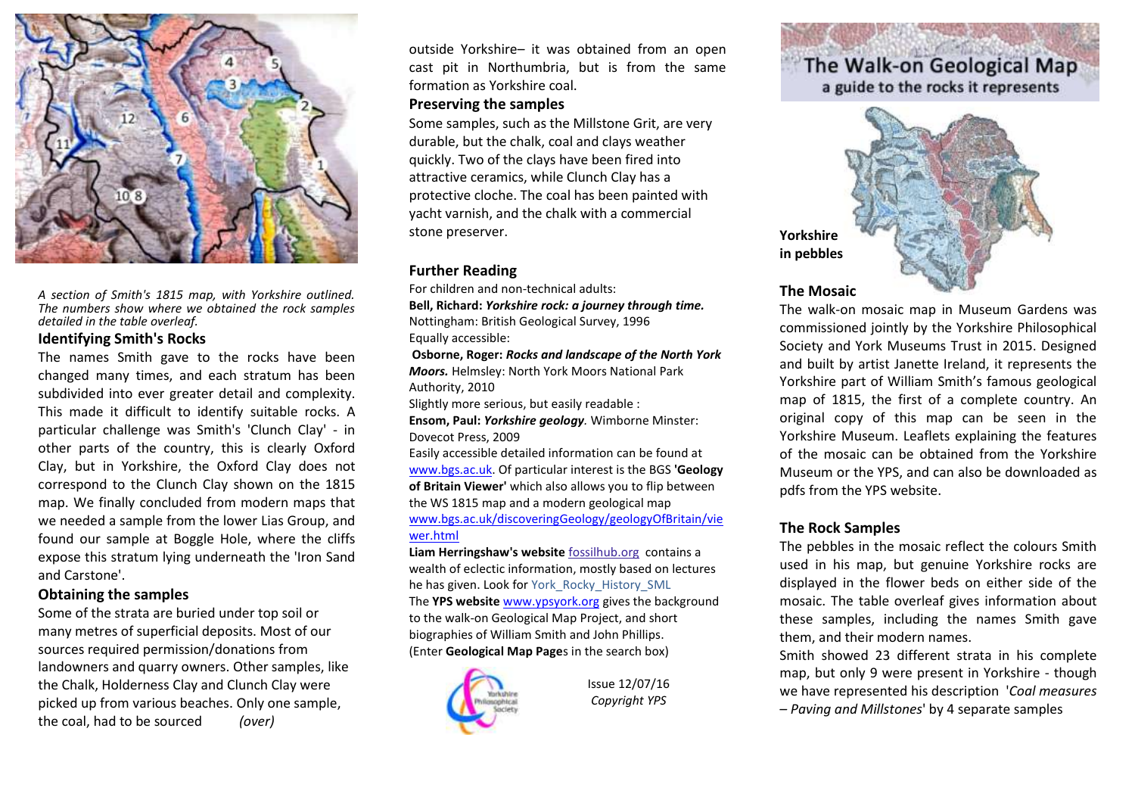

*A section of Smith's 1815 map, with Yorkshire outlined. The numbers show where we obtained the rock samples detailed in the table overleaf.*

### **Identifying Smith's Rocks**

The names Smith gave to the rocks have been changed many times, and each stratum has been subdivided into ever greater detail and complexity. This made it difficult to identify suitable rocks. A particular challenge was Smith's 'Clunch Clay' - in other parts of the country, this is clearly Oxford Clay, but in Yorkshire, the Oxford Clay does not correspond to the Clunch Clay shown on the 1815 map. We finally concluded from modern maps that we needed a sample from the lower Lias Group, and found our sample at Boggle Hole, where the cliffs expose this stratum lying underneath the 'Iron Sand and Carstone'.

#### **Obtaining the samples**

Some of the strata are buried under top soil or many metres of superficial deposits. Most of our sources required permission/donations from landowners and quarry owners. Other samples, like the Chalk, Holderness Clay and Clunch Clay were picked up from various beaches. Only one sample, the coal, had to be sourced *(over)*

outside Yorkshire– it was obtained from an open cast pit in Northumbria, but is from the same formation as Yorkshire coal.

### **Preserving the samples**

Some samples, such as the Millstone Grit, are very durable, but the chalk, coal and clays weather quickly. Two of the clays have been fired into attractive ceramics, while Clunch Clay has a protective cloche. The coal has been painted with yacht varnish, and the chalk with a commercial stone preserver.

### **Further Reading**

For children and non-technical adults:

**Bell, Richard:** *Yorkshire rock: a journey through time.* Nottingham: British Geological Survey, 1996 Equally accessible:

**Osborne, Roger:** *Rocks and landscape of the North York Moors.* Helmsley: North York Moors National Park Authority, 2010

Slightly more serious, but easily readable :

**Ensom, Paul:** *Yorkshire geology.* Wimborne Minster: Dovecot Press, 2009

Easily accessible detailed information can be found at [www.bgs.ac.uk.](http://www.bgs.ac.uk/) Of particular interest is the BGS **'Geology of Britain Viewer'** which also allows you to flip between the WS 1815 map and a modern geological map [www.bgs.ac.uk/discoveringGeology/geologyOfBritain/vie](http://www.bgs.ac.uk/discoveringGeology/geologyOfBritain/viewer.html) [wer.html](http://www.bgs.ac.uk/discoveringGeology/geologyOfBritain/viewer.html)

**Liam Herringshaw's website** fossilhub.org contains a wealth of eclectic information, mostly based on lectures he has given. Look for York\_Rocky\_History\_SML The **YPS website** [www.ypsyork.org](http://www.ypsyork.org/) gives the background to the walk-on Geological Map Project, and short biographies of William Smith and John Phillips. (Enter **Geological Map Page**s in the search box)



Issue 12/07/16 *Copyright YPS* 

# The Walk-on Geological Map

a guide to the rocks it represents



### **The Mosaic**

The walk-on mosaic map in Museum Gardens was commissioned jointly by the Yorkshire Philosophical Society and York Museums Trust in 2015. Designed and built by artist Janette Ireland, it represents the Yorkshire part of William Smith's famous geological map of 1815, the first of a complete country. An original copy of this map can be seen in the Yorkshire Museum. Leaflets explaining the features of the mosaic can be obtained from the Yorkshire Museum or the YPS, and can also be downloaded as pdfs from the YPS website.

### **The Rock Samples**

The pebbles in the mosaic reflect the colours Smith used in his map, but genuine Yorkshire rocks are displayed in the flower beds on either side of the mosaic. The table overleaf gives information about these samples, including the names Smith gave them, and their modern names.

Smith showed 23 different strata in his complete map, but only 9 were present in Yorkshire - though we have represented his description '*Coal measures – Paving and Millstones*' by 4 separate samples